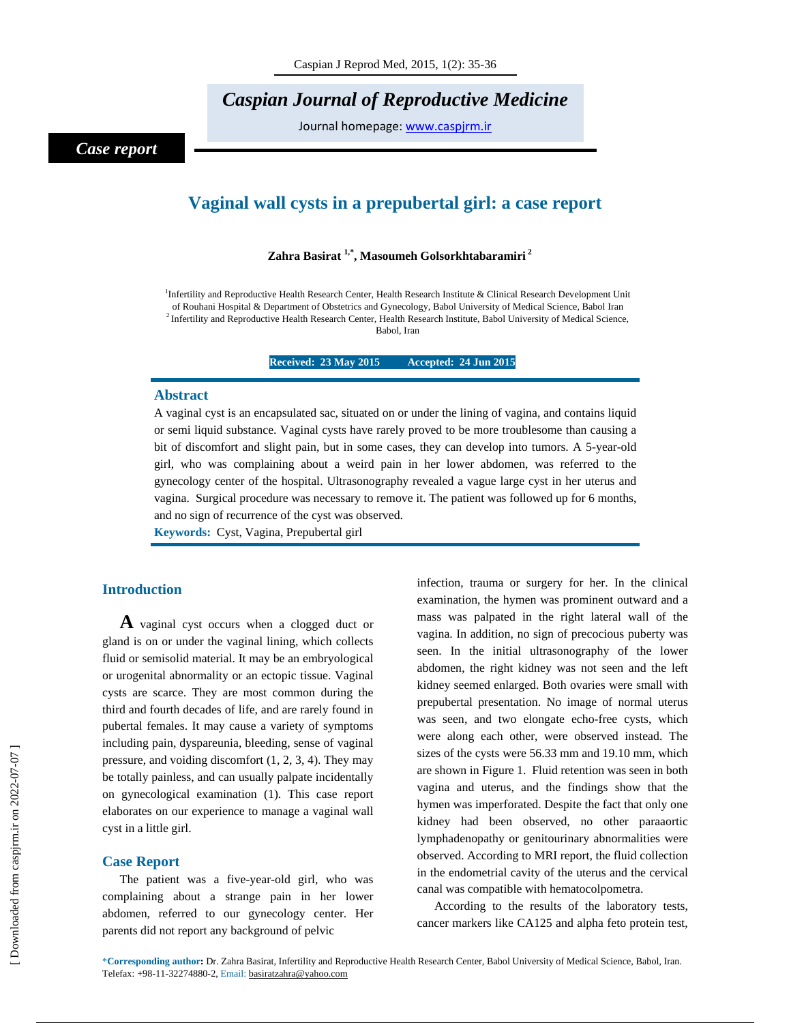# *Caspian Journal of Reproductive Medicine*

Journal homepage: www.caspjrm.ir

## *Case report*

# **Vaginal wall cysts in a prepubertal girl: a case report**

### **Zahra Basirat 1,\*, Masoumeh Golsorkhtabaramiri 2**

<sup>1</sup>Infertility and Reproductive Health Research Center, Health Research Institute & Clinical Research Development Unit of Rouhani Hospital & Department of Obstetrics and Gynecology, Babol University of Medical Science, Babol Iran <sup>2</sup> Infertility and Reproductive Health Research Center, Health Research Institute, Babol University of Medical Science, Babol, Iran

**Received: 23 May 2015** Accepted: 24 Jun 2015

#### **Abstract**

A vaginal cyst is an encapsulated sac, situated on or under the lining of vagina, and contains liquid or semi liquid substance. Vaginal cysts have rarely proved to be more troublesome than causing a bit of discomfort and slight pain, but in some cases, they can develop into tumors. A 5-year-old girl, who was complaining about a weird pain in her lower abdomen, was referred to the gynecology center of the hospital. Ultrasonography revealed a vague large cyst in her uterus and vagina. Surgical procedure was necessary to remove it. The patient was followed up for 6 months, and no sign of recurrence of the cyst was observed.

**Keywords:** Cyst, Vagina, Prepubertal girl

### **Introduction**

**A** vaginal cyst occurs when a clogged duct or gland is on or under the vaginal lining, which collects fluid or semisolid material. It may be an embryological or urogenital abnormality or an ectopic tissue. Vaginal cysts are scarce. They are most common during the third and fourth decades of life, and are rarely found in pubertal females. It may cause a variety of symptoms including pain, dyspareunia, bleeding, sense of vaginal pressure, and voiding discomfort (1, 2, 3, 4). They may be totally painless, and can usually palpate incidentally on gynecological examination (1). This case report elaborates on our experience to manage a vaginal wall cyst in a little girl.

#### **Case Report**

The patient was a five-year-old girl, who was complaining about a strange pain in her lower abdomen, referred to our gynecology center. Her parents did not report any background of pelvic

infection, trauma or surgery for her. In the clinical examination, the hymen was prominent outward and a mass was palpated in the right lateral wall of the vagina. In addition, no sign of precocious puberty was seen. In the initial ultrasonography of the lower abdomen, the right kidney was not seen and the left kidney seemed enlarged. Both ovaries were small with prepubertal presentation. No image of normal uterus was seen, and two elongate echo-free cysts, which were along each other, were observed instead. The sizes of the cysts were 56.33 mm and 19.10 mm, which are shown in Figure 1. Fluid retention was seen in both vagina and uterus, and the findings show that the hymen was imperforated. Despite the fact that only one kidney had been observed, no other paraaortic lymphadenopathy or genitourinary abnormalities were observed. According to MRI report, the fluid collection in the endometrial cavity of the uterus and the cervical canal was compatible with hematocolpometra.

According to the results of the laboratory tests, cancer markers like CA125 and alpha feto protein test,